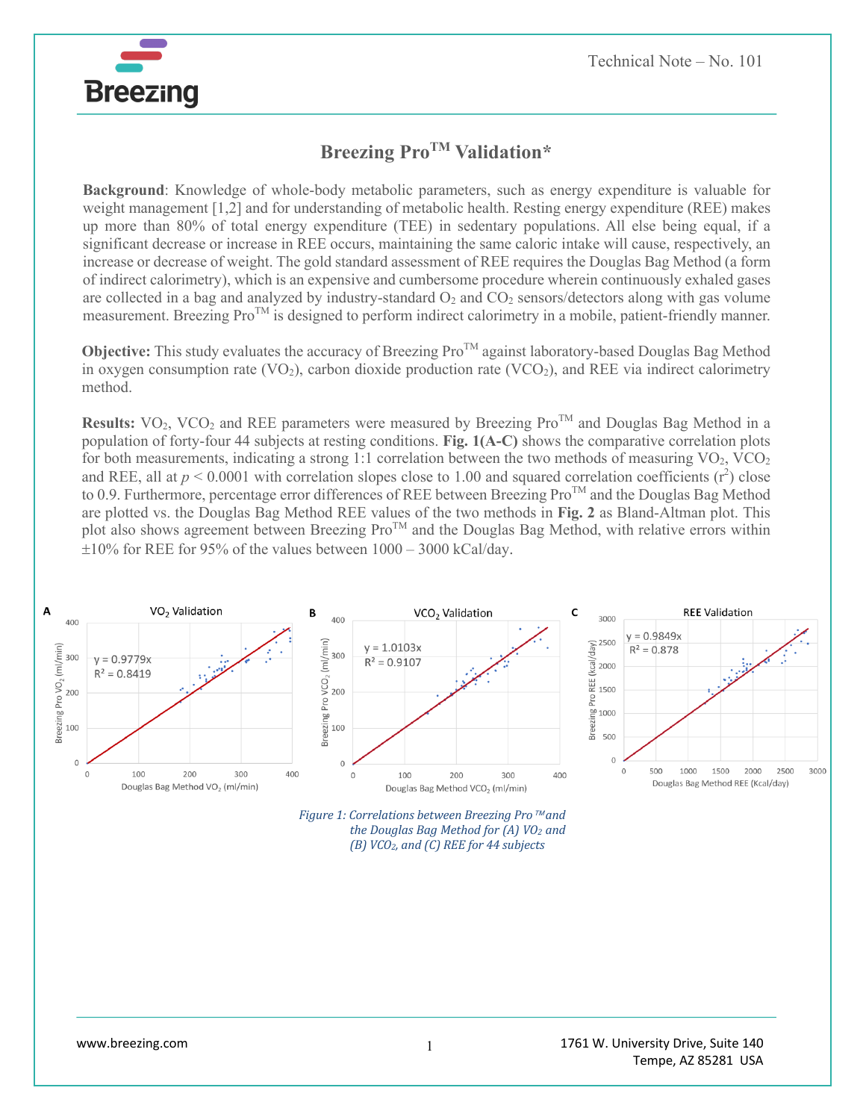

**Background**: Knowledge of whole-body metabolic parameters, such as energy expenditure is valuable for weight management [1,2] and for understanding of metabolic health. Resting energy expenditure (REE) makes up more than 80% of total energy expenditure (TEE) in sedentary populations. All else being equal, if a significant decrease or increase in REE occurs, maintaining the same caloric intake will cause, respectively, an increase or decrease of weight. The gold standard assessment of REE requires the Douglas Bag Method (a form of indirect calorimetry), which is an expensive and cumbersome procedure wherein continuously exhaled gases are collected in a bag and analyzed by industry-standard  $O_2$  and  $CO_2$  sensors/detectors along with gas volume measurement. Breezing Pro<sup>TM</sup> is designed to perform indirect calorimetry in a mobile, patient-friendly manner.

**Objective:** This study evaluates the accuracy of Breezing Pro<sup>TM</sup> against laboratory-based Douglas Bag Method in oxygen consumption rate  $(VO_2)$ , carbon dioxide production rate  $(VCO_2)$ , and REE via indirect calorimetry method.

**Results:**  $VO_2$ ,  $VCO_2$  and REE parameters were measured by Breezing Pro<sup>TM</sup> and Douglas Bag Method in a population of forty-four 44 subjects at resting conditions. **Fig. 1(A-C)** shows the comparative correlation plots for both measurements, indicating a strong 1:1 correlation between the two methods of measuring  $VO_2$ ,  $VCO_2$ and REE, all at  $p < 0.0001$  with correlation slopes close to 1.00 and squared correlation coefficients  $(r^2)$  close to 0.9. Furthermore, percentage error differences of REE between Breezing Pro<sup>TM</sup> and the Douglas Bag Method are plotted vs. the Douglas Bag Method REE values of the two methods in **Fig. 2** as Bland-Altman plot. This plot also shows agreement between Breezing Pro<sup>TM</sup> and the Douglas Bag Method, with relative errors within  $\pm 10\%$  for REE for 95% of the values between  $1000 - 3000$  kCal/day.



*<sup>(</sup>B) VCO2, and (C) REE for 44 subjects*

**Breezing**